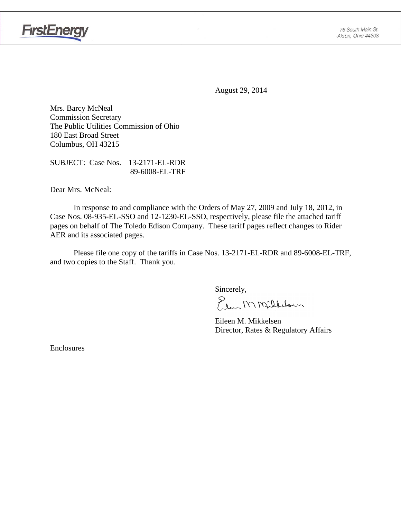

August 29, 2014

Mrs. Barcy McNeal Commission Secretary The Public Utilities Commission of Ohio 180 East Broad Street Columbus, OH 43215

SUBJECT: Case Nos. 13-2171-EL-RDR 89-6008-EL-TRF

Dear Mrs. McNeal:

 In response to and compliance with the Orders of May 27, 2009 and July 18, 2012, in Case Nos. 08-935-EL-SSO and 12-1230-EL-SSO, respectively, please file the attached tariff pages on behalf of The Toledo Edison Company. These tariff pages reflect changes to Rider AER and its associated pages.

Please file one copy of the tariffs in Case Nos. 13-2171-EL-RDR and 89-6008-EL-TRF, and two copies to the Staff. Thank you.

Sincerely,

Elem M Milleloun

 Eileen M. Mikkelsen Director, Rates & Regulatory Affairs

Enclosures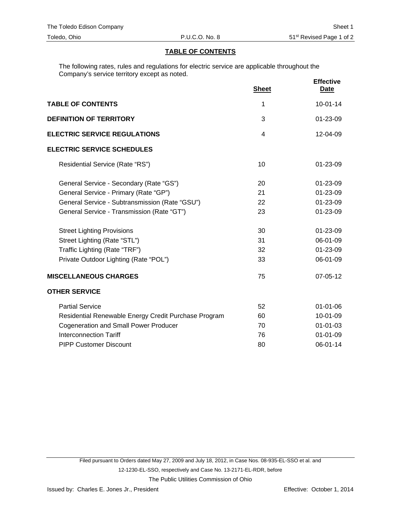#### **TABLE OF CONTENTS**

The following rates, rules and regulations for electric service are applicable throughout the Company's service territory except as noted.

|                                                      | <b>Sheet</b> | <b>Effective</b><br>Date |
|------------------------------------------------------|--------------|--------------------------|
| <b>TABLE OF CONTENTS</b>                             | 1            | $10-01-14$               |
| <b>DEFINITION OF TERRITORY</b>                       | 3            | $01 - 23 - 09$           |
| <b>ELECTRIC SERVICE REGULATIONS</b>                  | 4            | 12-04-09                 |
| <b>ELECTRIC SERVICE SCHEDULES</b>                    |              |                          |
| Residential Service (Rate "RS")                      | 10           | $01 - 23 - 09$           |
| General Service - Secondary (Rate "GS")              | 20           | 01-23-09                 |
| General Service - Primary (Rate "GP")                | 21           | 01-23-09                 |
| General Service - Subtransmission (Rate "GSU")       | 22           | 01-23-09                 |
| General Service - Transmission (Rate "GT")           | 23           | 01-23-09                 |
| <b>Street Lighting Provisions</b>                    | 30           | 01-23-09                 |
| Street Lighting (Rate "STL")                         | 31           | 06-01-09                 |
| Traffic Lighting (Rate "TRF")                        | 32           | 01-23-09                 |
| Private Outdoor Lighting (Rate "POL")                | 33           | 06-01-09                 |
| <b>MISCELLANEOUS CHARGES</b>                         | 75           | 07-05-12                 |
| <b>OTHER SERVICE</b>                                 |              |                          |
| <b>Partial Service</b>                               | 52           | 01-01-06                 |
| Residential Renewable Energy Credit Purchase Program | 60           | 10-01-09                 |
| <b>Cogeneration and Small Power Producer</b>         | 70           | $01 - 01 - 03$           |
| <b>Interconnection Tariff</b>                        | 76           | $01 - 01 - 09$           |
| <b>PIPP Customer Discount</b>                        | 80           | 06-01-14                 |

The Public Utilities Commission of Ohio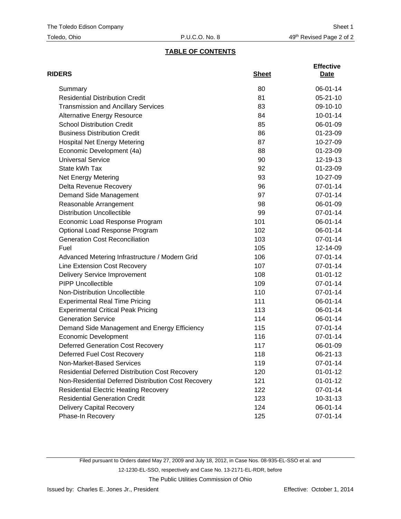# **TABLE OF CONTENTS**

| <b>RIDERS</b>                                          | <b>Sheet</b> | <b>Effective</b><br>Date |
|--------------------------------------------------------|--------------|--------------------------|
| Summary                                                | 80           | 06-01-14                 |
| <b>Residential Distribution Credit</b>                 | 81           | $05 - 21 - 10$           |
| <b>Transmission and Ancillary Services</b>             | 83           | 09-10-10                 |
| <b>Alternative Energy Resource</b>                     | 84           | $10-01-14$               |
| <b>School Distribution Credit</b>                      | 85           | 06-01-09                 |
| <b>Business Distribution Credit</b>                    | 86           | 01-23-09                 |
| <b>Hospital Net Energy Metering</b>                    | 87           | 10-27-09                 |
| Economic Development (4a)                              | 88           | 01-23-09                 |
| <b>Universal Service</b>                               | 90           | 12-19-13                 |
| State kWh Tax                                          | 92           | 01-23-09                 |
| Net Energy Metering                                    | 93           | 10-27-09                 |
| Delta Revenue Recovery                                 | 96           | 07-01-14                 |
| Demand Side Management                                 | 97           | 07-01-14                 |
| Reasonable Arrangement                                 | 98           | 06-01-09                 |
| <b>Distribution Uncollectible</b>                      | 99           | 07-01-14                 |
| Economic Load Response Program                         | 101          | 06-01-14                 |
| Optional Load Response Program                         | 102          | 06-01-14                 |
| <b>Generation Cost Reconciliation</b>                  | 103          | 07-01-14                 |
| Fuel                                                   | 105          | 12-14-09                 |
| Advanced Metering Infrastructure / Modern Grid         | 106          | 07-01-14                 |
| Line Extension Cost Recovery                           | 107          | 07-01-14                 |
| <b>Delivery Service Improvement</b>                    | 108          | $01 - 01 - 12$           |
| <b>PIPP Uncollectible</b>                              | 109          | 07-01-14                 |
| Non-Distribution Uncollectible                         | 110          | 07-01-14                 |
| <b>Experimental Real Time Pricing</b>                  | 111          | 06-01-14                 |
| <b>Experimental Critical Peak Pricing</b>              | 113          | 06-01-14                 |
| <b>Generation Service</b>                              | 114          | 06-01-14                 |
| Demand Side Management and Energy Efficiency           | 115          | 07-01-14                 |
| <b>Economic Development</b>                            | 116          | 07-01-14                 |
| <b>Deferred Generation Cost Recovery</b>               | 117          | 06-01-09                 |
| Deferred Fuel Cost Recovery                            | 118          | 06-21-13                 |
| Non-Market-Based Services                              | 119          | 07-01-14                 |
| <b>Residential Deferred Distribution Cost Recovery</b> | 120          | $01 - 01 - 12$           |
| Non-Residential Deferred Distribution Cost Recovery    | 121          | $01 - 01 - 12$           |
| <b>Residential Electric Heating Recovery</b>           | 122          | 07-01-14                 |
| <b>Residential Generation Credit</b>                   | 123          | $10-31-13$               |
| <b>Delivery Capital Recovery</b>                       | 124          | 06-01-14                 |
| Phase-In Recovery                                      | 125          | 07-01-14                 |

Filed pursuant to Orders dated May 27, 2009 and July 18, 2012, in Case Nos. 08-935-EL-SSO et al. and 12-1230-EL-SSO, respectively and Case No. 13-2171-EL-RDR, before The Public Utilities Commission of Ohio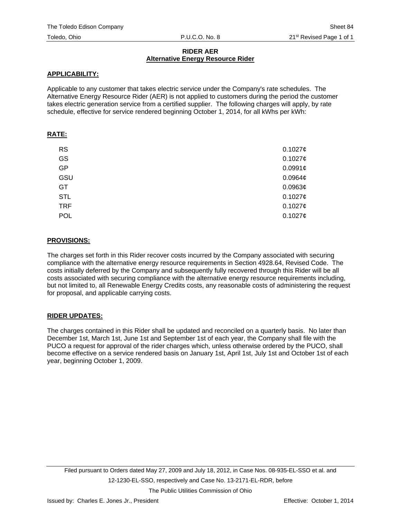#### **RIDER AER Alternative Energy Resource Rider**

#### **APPLICABILITY:**

Applicable to any customer that takes electric service under the Company's rate schedules. The Alternative Energy Resource Rider (AER) is not applied to customers during the period the customer takes electric generation service from a certified supplier. The following charges will apply, by rate schedule, effective for service rendered beginning October 1, 2014, for all kWhs per kWh:

## **RATE:**

| <b>RS</b>  | 0.10276             |
|------------|---------------------|
| GS         | 0.10276             |
| <b>GP</b>  | 0.0991c             |
| GSU        | $0.0964\mathcal{C}$ |
| GT         | 0.0963¢             |
| <b>STL</b> | 0.10276             |
| <b>TRF</b> | 0.10276             |
| POL        | 0.10276             |

## **PROVISIONS:**

The charges set forth in this Rider recover costs incurred by the Company associated with securing compliance with the alternative energy resource requirements in Section 4928.64, Revised Code. The costs initially deferred by the Company and subsequently fully recovered through this Rider will be all costs associated with securing compliance with the alternative energy resource requirements including, but not limited to, all Renewable Energy Credits costs, any reasonable costs of administering the request for proposal, and applicable carrying costs.

## **RIDER UPDATES:**

The charges contained in this Rider shall be updated and reconciled on a quarterly basis. No later than December 1st, March 1st, June 1st and September 1st of each year, the Company shall file with the PUCO a request for approval of the rider charges which, unless otherwise ordered by the PUCO, shall become effective on a service rendered basis on January 1st, April 1st, July 1st and October 1st of each year, beginning October 1, 2009.

The Public Utilities Commission of Ohio